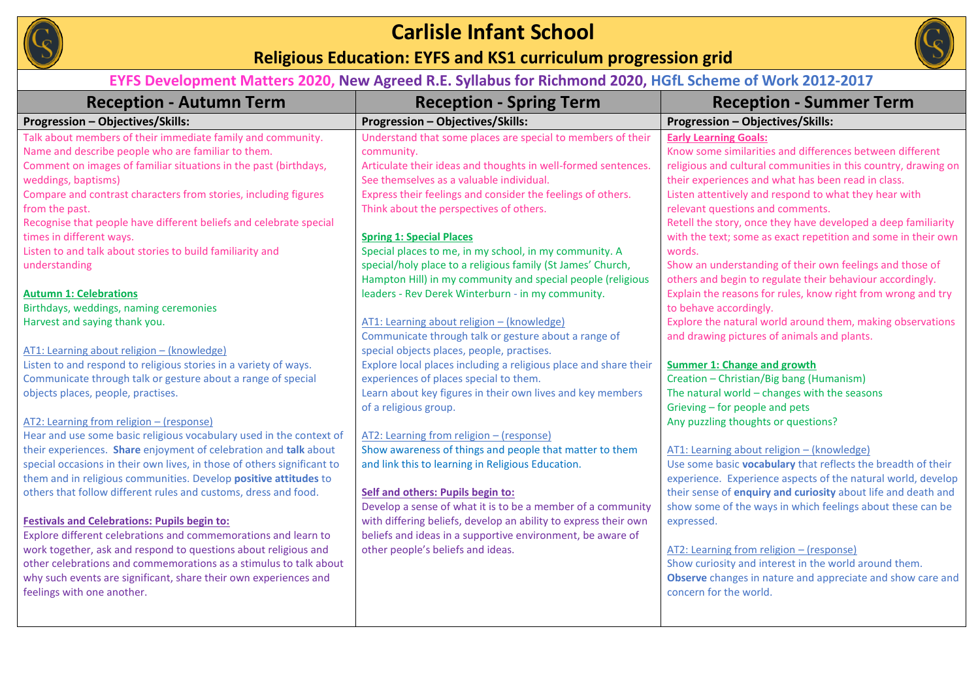

### **Carlisle Infant School**

### **Religious Education: EYFS and KS1 curriculum progression grid**



### **EYFS Development Matters 2020, New Agreed R.E. Syllabus for Richmond 2020, HGfL Scheme of Work 2012-2017**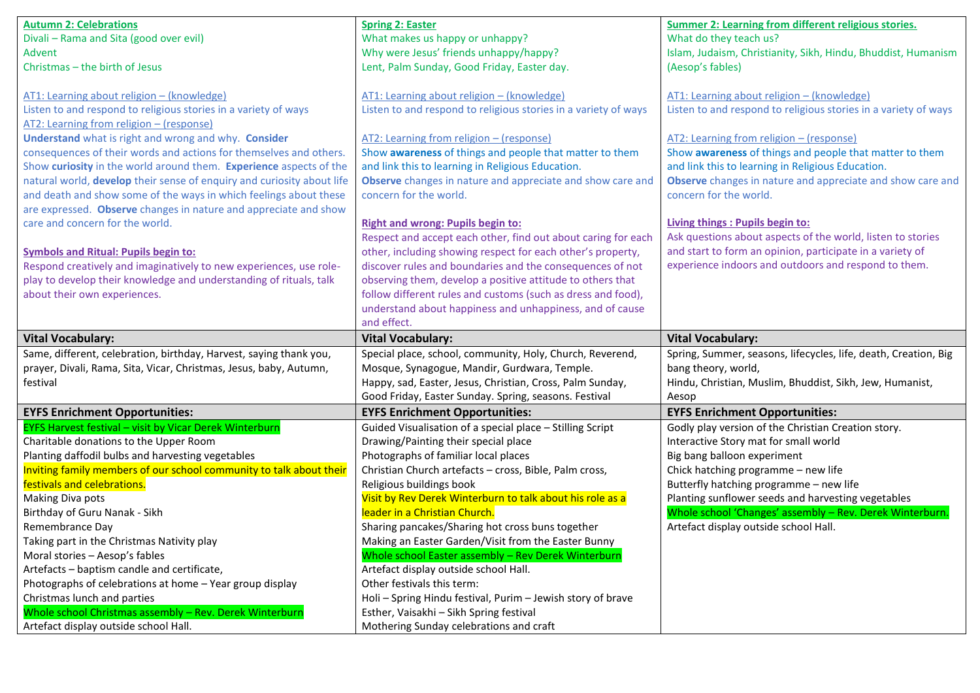| <b>Autumn 2: Celebrations</b>                                                                    | <b>Spring 2: Easter</b>                                                            | <b>Summer 2: Learning from different religious stories.</b>     |
|--------------------------------------------------------------------------------------------------|------------------------------------------------------------------------------------|-----------------------------------------------------------------|
| Divali - Rama and Sita (good over evil)                                                          | What makes us happy or unhappy?                                                    | What do they teach us?                                          |
| <b>Advent</b>                                                                                    | Why were Jesus' friends unhappy/happy?                                             | Islam, Judaism, Christianity, Sikh, Hindu, Bhuddist, Humanism   |
| Christmas - the birth of Jesus                                                                   | Lent, Palm Sunday, Good Friday, Easter day.                                        | (Aesop's fables)                                                |
|                                                                                                  |                                                                                    |                                                                 |
| AT1: Learning about religion - (knowledge)                                                       | AT1: Learning about religion - (knowledge)                                         | AT1: Learning about religion - (knowledge)                      |
| Listen to and respond to religious stories in a variety of ways                                  | Listen to and respond to religious stories in a variety of ways                    | Listen to and respond to religious stories in a variety of ways |
| AT2: Learning from religion - (response)                                                         |                                                                                    |                                                                 |
| Understand what is right and wrong and why. Consider                                             | AT2: Learning from religion - (response)                                           | AT2: Learning from religion - (response)                        |
| consequences of their words and actions for themselves and others.                               | Show awareness of things and people that matter to them                            | Show awareness of things and people that matter to them         |
| Show curiosity in the world around them. Experience aspects of the                               | and link this to learning in Religious Education.                                  | and link this to learning in Religious Education.               |
| natural world, develop their sense of enquiry and curiosity about life                           | Observe changes in nature and appreciate and show care and                         | Observe changes in nature and appreciate and show care and      |
| and death and show some of the ways in which feelings about these                                | concern for the world.                                                             | concern for the world.                                          |
| are expressed. Observe changes in nature and appreciate and show                                 |                                                                                    |                                                                 |
| care and concern for the world.                                                                  | <b>Right and wrong: Pupils begin to:</b>                                           | <b>Living things: Pupils begin to:</b>                          |
|                                                                                                  | Respect and accept each other, find out about caring for each                      | Ask questions about aspects of the world, listen to stories     |
| <b>Symbols and Ritual: Pupils begin to:</b>                                                      | other, including showing respect for each other's property,                        | and start to form an opinion, participate in a variety of       |
| Respond creatively and imaginatively to new experiences, use role-                               | discover rules and boundaries and the consequences of not                          | experience indoors and outdoors and respond to them.            |
| play to develop their knowledge and understanding of rituals, talk                               | observing them, develop a positive attitude to others that                         |                                                                 |
| about their own experiences.                                                                     | follow different rules and customs (such as dress and food),                       |                                                                 |
|                                                                                                  | understand about happiness and unhappiness, and of cause                           |                                                                 |
|                                                                                                  | and effect.                                                                        |                                                                 |
|                                                                                                  |                                                                                    |                                                                 |
| <b>Vital Vocabulary:</b>                                                                         | <b>Vital Vocabulary:</b>                                                           | <b>Vital Vocabulary:</b>                                        |
| Same, different, celebration, birthday, Harvest, saying thank you,                               | Special place, school, community, Holy, Church, Reverend,                          | Spring, Summer, seasons, lifecycles, life, death, Creation, Big |
| prayer, Divali, Rama, Sita, Vicar, Christmas, Jesus, baby, Autumn,                               | Mosque, Synagogue, Mandir, Gurdwara, Temple.                                       | bang theory, world,                                             |
| festival                                                                                         | Happy, sad, Easter, Jesus, Christian, Cross, Palm Sunday,                          | Hindu, Christian, Muslim, Bhuddist, Sikh, Jew, Humanist,        |
|                                                                                                  | Good Friday, Easter Sunday. Spring, seasons. Festival                              | Aesop                                                           |
| <b>EYFS Enrichment Opportunities:</b>                                                            | <b>EYFS Enrichment Opportunities:</b>                                              | <b>EYFS Enrichment Opportunities:</b>                           |
| EYFS Harvest festival - visit by Vicar Derek Winterburn                                          | Guided Visualisation of a special place - Stilling Script                          | Godly play version of the Christian Creation story.             |
| Charitable donations to the Upper Room                                                           | Drawing/Painting their special place                                               | Interactive Story mat for small world                           |
| Planting daffodil bulbs and harvesting vegetables                                                | Photographs of familiar local places                                               | Big bang balloon experiment                                     |
| Inviting family members of our school community to talk about their                              | Christian Church artefacts - cross, Bible, Palm cross,                             | Chick hatching programme - new life                             |
| festivals and celebrations.                                                                      | Religious buildings book                                                           | Butterfly hatching programme - new life                         |
| Making Diva pots                                                                                 | Visit by Rev Derek Winterburn to talk about his role as a                          | Planting sunflower seeds and harvesting vegetables              |
| Birthday of Guru Nanak - Sikh                                                                    | leader in a Christian Church.                                                      | Whole school 'Changes' assembly - Rev. Derek Winterburn.        |
| Remembrance Day                                                                                  | Sharing pancakes/Sharing hot cross buns together                                   | Artefact display outside school Hall.                           |
| Taking part in the Christmas Nativity play                                                       | Making an Easter Garden/Visit from the Easter Bunny                                |                                                                 |
| Moral stories - Aesop's fables                                                                   | Whole school Easter assembly - Rev Derek Winterburn                                |                                                                 |
| Artefacts - baptism candle and certificate,                                                      | Artefact display outside school Hall.                                              |                                                                 |
| Photographs of celebrations at home - Year group display                                         | Other festivals this term:                                                         |                                                                 |
| Christmas lunch and parties                                                                      | Holi - Spring Hindu festival, Purim - Jewish story of brave                        |                                                                 |
| Whole school Christmas assembly - Rev. Derek Winterburn<br>Artefact display outside school Hall. | Esther, Vaisakhi - Sikh Spring festival<br>Mothering Sunday celebrations and craft |                                                                 |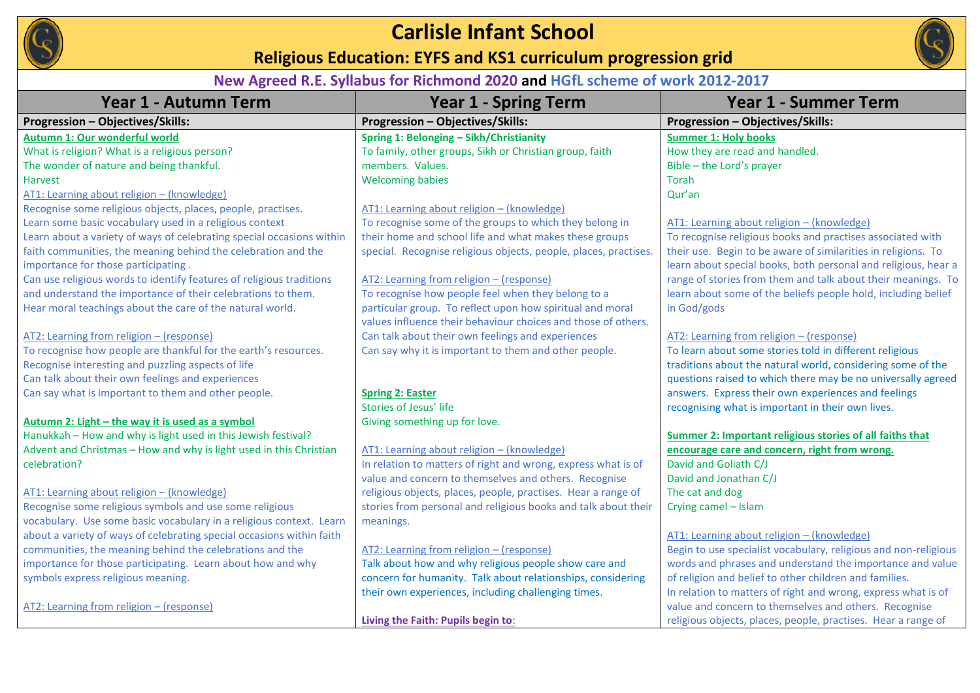

# **Carlisle Infant School**

**Religious Education: EYFS and KS1 curriculum progression grid** 



### **New Agreed R.E. Syllabus for Richmond 2020 and HGfL scheme of work 2012-2017**

| Year 1 - Autumn Term                                                  | <b>Year 1 - Spring Term</b>                                      | <b>Year 1 - Summer Term</b>                                     |
|-----------------------------------------------------------------------|------------------------------------------------------------------|-----------------------------------------------------------------|
| Progression - Objectives/Skills:                                      | Progression - Objectives/Skills:                                 | Progression - Objectives/Skills:                                |
| Autumn 1: Our wonderful world                                         | Spring 1: Belonging - Sikh/Christianity                          | <b>Summer 1: Holy books</b>                                     |
| What is religion? What is a religious person?                         | To family, other groups, Sikh or Christian group, faith          | How they are read and handled.                                  |
| The wonder of nature and being thankful.                              | members. Values.                                                 | Bible - the Lord's prayer                                       |
| Harvest                                                               | <b>Welcoming babies</b>                                          | <b>Torah</b>                                                    |
| AT1: Learning about religion - (knowledge)                            |                                                                  | Qur'an                                                          |
| Recognise some religious objects, places, people, practises.          | AT1: Learning about religion - (knowledge)                       |                                                                 |
| Learn some basic vocabulary used in a religious context               | To recognise some of the groups to which they belong in          | AT1: Learning about religion - (knowledge)                      |
| Learn about a variety of ways of celebrating special occasions within | their home and school life and what makes these groups           | To recognise religious books and practises associated with      |
| faith communities, the meaning behind the celebration and the         | special. Recognise religious objects, people, places, practises. | their use. Begin to be aware of similarities in religions. To   |
| importance for those participating.                                   |                                                                  | learn about special books, both personal and religious, hear a  |
| Can use religious words to identify features of religious traditions  | AT2: Learning from religion - (response)                         | range of stories from them and talk about their meanings. To    |
| and understand the importance of their celebrations to them.          | To recognise how people feel when they belong to a               | learn about some of the beliefs people hold, including belief   |
| Hear moral teachings about the care of the natural world.             | particular group. To reflect upon how spiritual and moral        | in God/gods                                                     |
|                                                                       | values influence their behaviour choices and those of others.    |                                                                 |
| AT2: Learning from religion - (response)                              | Can talk about their own feelings and experiences                | AT2: Learning from religion - (response)                        |
| To recognise how people are thankful for the earth's resources.       | Can say why it is important to them and other people.            | To learn about some stories told in different religious         |
| Recognise interesting and puzzling aspects of life                    |                                                                  | traditions about the natural world, considering some of the     |
| Can talk about their own feelings and experiences                     |                                                                  | questions raised to which there may be no universally agreed    |
| Can say what is important to them and other people.                   | <b>Spring 2: Easter</b>                                          | answers. Express their own experiences and feelings             |
|                                                                       | Stories of Jesus' life                                           | recognising what is important in their own lives.               |
| Autumn 2: Light - the way it is used as a symbol                      | Giving something up for love.                                    |                                                                 |
| Hanukkah - How and why is light used in this Jewish festival?         |                                                                  | Summer 2: Important religious stories of all faiths that        |
| Advent and Christmas - How and why is light used in this Christian    | AT1: Learning about religion - (knowledge)                       | encourage care and concern, right from wrong.                   |
| celebration?                                                          | In relation to matters of right and wrong, express what is of    | David and Goliath C/J                                           |
|                                                                       | value and concern to themselves and others. Recognise            | David and Jonathan C/J                                          |
| AT1: Learning about religion - (knowledge)                            | religious objects, places, people, practises. Hear a range of    | The cat and dog                                                 |
| Recognise some religious symbols and use some religious               | stories from personal and religious books and talk about their   | Crying camel - Islam                                            |
| vocabulary. Use some basic vocabulary in a religious context. Learn   | meanings.                                                        |                                                                 |
| about a variety of ways of celebrating special occasions within faith |                                                                  | AT1: Learning about religion - (knowledge)                      |
| communities, the meaning behind the celebrations and the              | AT2: Learning from religion - (response)                         | Begin to use specialist vocabulary, religious and non-religious |
| importance for those participating. Learn about how and why           | Talk about how and why religious people show care and            | words and phrases and understand the importance and value       |
| symbols express religious meaning.                                    | concern for humanity. Talk about relationships, considering      | of religion and belief to other children and families.          |
|                                                                       | their own experiences, including challenging times.              | In relation to matters of right and wrong, express what is of   |
| AT2: Learning from religion - (response)                              |                                                                  | value and concern to themselves and others. Recognise           |
|                                                                       | Living the Faith: Pupils begin to:                               | religious objects, places, people, practises. Hear a range of   |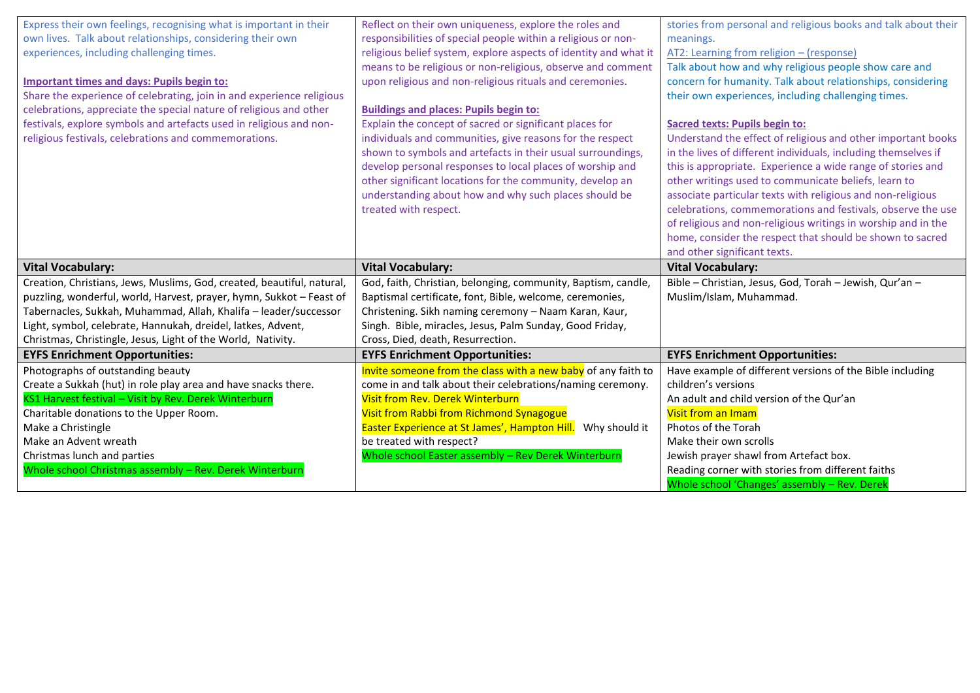| Express their own feelings, recognising what is important in their<br>own lives. Talk about relationships, considering their own<br>experiences, including challenging times.<br>Important times and days: Pupils begin to:<br>Share the experience of celebrating, join in and experience religious<br>celebrations, appreciate the special nature of religious and other<br>festivals, explore symbols and artefacts used in religious and non-<br>religious festivals, celebrations and commemorations. | Reflect on their own uniqueness, explore the roles and<br>responsibilities of special people within a religious or non-<br>religious belief system, explore aspects of identity and what it<br>means to be religious or non-religious, observe and comment<br>upon religious and non-religious rituals and ceremonies.<br><b>Buildings and places: Pupils begin to:</b><br>Explain the concept of sacred or significant places for<br>individuals and communities, give reasons for the respect<br>shown to symbols and artefacts in their usual surroundings,<br>develop personal responses to local places of worship and<br>other significant locations for the community, develop an<br>understanding about how and why such places should be<br>treated with respect. | stories from personal and religious books and talk about their<br>meanings.<br>AT2: Learning from religion - (response)<br>Talk about how and why religious people show care and<br>concern for humanity. Talk about relationships, considering<br>their own experiences, including challenging times.<br><b>Sacred texts: Pupils begin to:</b><br>Understand the effect of religious and other important books<br>in the lives of different individuals, including themselves if<br>this is appropriate. Experience a wide range of stories and<br>other writings used to communicate beliefs, learn to<br>associate particular texts with religious and non-religious<br>celebrations, commemorations and festivals, observe the use<br>of religious and non-religious writings in worship and in the<br>home, consider the respect that should be shown to sacred<br>and other significant texts. |
|------------------------------------------------------------------------------------------------------------------------------------------------------------------------------------------------------------------------------------------------------------------------------------------------------------------------------------------------------------------------------------------------------------------------------------------------------------------------------------------------------------|----------------------------------------------------------------------------------------------------------------------------------------------------------------------------------------------------------------------------------------------------------------------------------------------------------------------------------------------------------------------------------------------------------------------------------------------------------------------------------------------------------------------------------------------------------------------------------------------------------------------------------------------------------------------------------------------------------------------------------------------------------------------------|------------------------------------------------------------------------------------------------------------------------------------------------------------------------------------------------------------------------------------------------------------------------------------------------------------------------------------------------------------------------------------------------------------------------------------------------------------------------------------------------------------------------------------------------------------------------------------------------------------------------------------------------------------------------------------------------------------------------------------------------------------------------------------------------------------------------------------------------------------------------------------------------------|
|                                                                                                                                                                                                                                                                                                                                                                                                                                                                                                            |                                                                                                                                                                                                                                                                                                                                                                                                                                                                                                                                                                                                                                                                                                                                                                            |                                                                                                                                                                                                                                                                                                                                                                                                                                                                                                                                                                                                                                                                                                                                                                                                                                                                                                      |
| <b>Vital Vocabulary:</b>                                                                                                                                                                                                                                                                                                                                                                                                                                                                                   | <b>Vital Vocabulary:</b>                                                                                                                                                                                                                                                                                                                                                                                                                                                                                                                                                                                                                                                                                                                                                   | <b>Vital Vocabulary:</b>                                                                                                                                                                                                                                                                                                                                                                                                                                                                                                                                                                                                                                                                                                                                                                                                                                                                             |
| Creation, Christians, Jews, Muslims, God, created, beautiful, natural,<br>puzzling, wonderful, world, Harvest, prayer, hymn, Sukkot - Feast of<br>Tabernacles, Sukkah, Muhammad, Allah, Khalifa - leader/successor<br>Light, symbol, celebrate, Hannukah, dreidel, latkes, Advent,                                                                                                                                                                                                                         | God, faith, Christian, belonging, community, Baptism, candle,<br>Baptismal certificate, font, Bible, welcome, ceremonies,<br>Christening. Sikh naming ceremony - Naam Karan, Kaur,<br>Singh. Bible, miracles, Jesus, Palm Sunday, Good Friday,                                                                                                                                                                                                                                                                                                                                                                                                                                                                                                                             | Bible - Christian, Jesus, God, Torah - Jewish, Qur'an -<br>Muslim/Islam, Muhammad.                                                                                                                                                                                                                                                                                                                                                                                                                                                                                                                                                                                                                                                                                                                                                                                                                   |
| Christmas, Christingle, Jesus, Light of the World, Nativity.<br><b>EYFS Enrichment Opportunities:</b>                                                                                                                                                                                                                                                                                                                                                                                                      | Cross, Died, death, Resurrection.<br><b>EYFS Enrichment Opportunities:</b>                                                                                                                                                                                                                                                                                                                                                                                                                                                                                                                                                                                                                                                                                                 | <b>EYFS Enrichment Opportunities:</b>                                                                                                                                                                                                                                                                                                                                                                                                                                                                                                                                                                                                                                                                                                                                                                                                                                                                |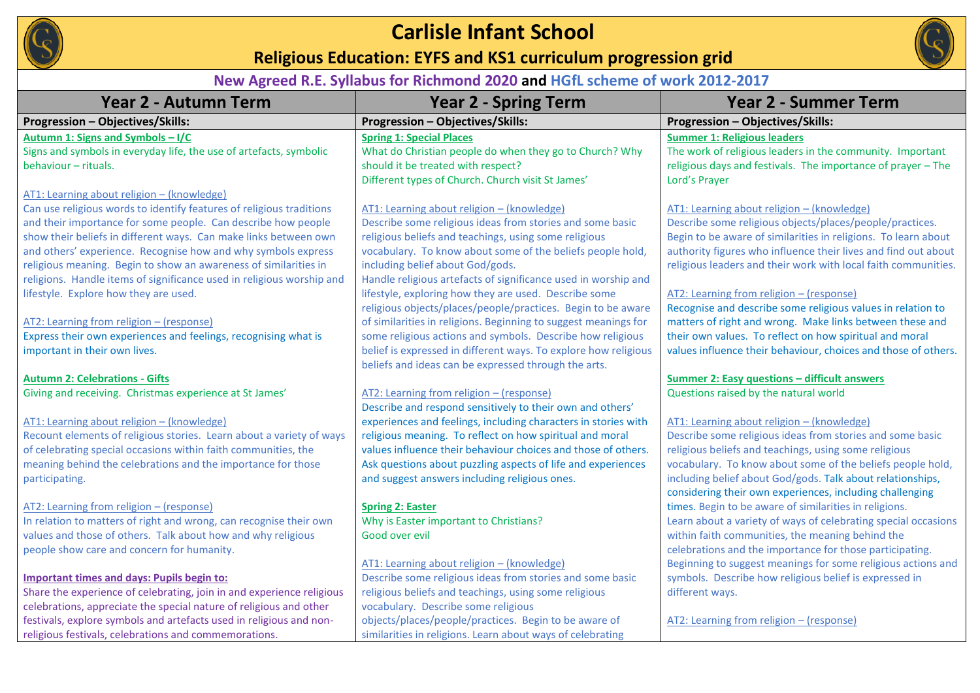

# **Carlisle Infant School**

**Religious Education: EYFS and KS1 curriculum progression grid** 



### **New Agreed R.E. Syllabus for Richmond 2020 and HGfL scheme of work 2012-2017**

| <b>Year 2 - Autumn Term</b>                                           | <b>Year 2 - Spring Term</b>                                     | <b>Year 2 - Summer Term</b>                                                                                            |
|-----------------------------------------------------------------------|-----------------------------------------------------------------|------------------------------------------------------------------------------------------------------------------------|
| <b>Progression - Objectives/Skills:</b>                               | Progression - Objectives/Skills:                                | Progression - Objectives/Skills:                                                                                       |
| Autumn 1: Signs and Symbols - I/C                                     | <b>Spring 1: Special Places</b>                                 | <b>Summer 1: Religious leaders</b>                                                                                     |
| Signs and symbols in everyday life, the use of artefacts, symbolic    | What do Christian people do when they go to Church? Why         | The work of religious leaders in the community. Important                                                              |
| behaviour - rituals.                                                  | should it be treated with respect?                              | religious days and festivals. The importance of prayer - The                                                           |
|                                                                       | Different types of Church. Church visit St James'               | Lord's Prayer                                                                                                          |
| AT1: Learning about religion - (knowledge)                            |                                                                 |                                                                                                                        |
| Can use religious words to identify features of religious traditions  | AT1: Learning about religion - (knowledge)                      | AT1: Learning about religion - (knowledge)                                                                             |
| and their importance for some people. Can describe how people         | Describe some religious ideas from stories and some basic       | Describe some religious objects/places/people/practices.                                                               |
| show their beliefs in different ways. Can make links between own      | religious beliefs and teachings, using some religious           | Begin to be aware of similarities in religions. To learn about                                                         |
| and others' experience. Recognise how and why symbols express         | vocabulary. To know about some of the beliefs people hold,      | authority figures who influence their lives and find out about                                                         |
| religious meaning. Begin to show an awareness of similarities in      | including belief about God/gods.                                | religious leaders and their work with local faith communities.                                                         |
| religions. Handle items of significance used in religious worship and | Handle religious artefacts of significance used in worship and  |                                                                                                                        |
| lifestyle. Explore how they are used.                                 | lifestyle, exploring how they are used. Describe some           | AT2: Learning from religion - (response)                                                                               |
|                                                                       | religious objects/places/people/practices. Begin to be aware    | Recognise and describe some religious values in relation to                                                            |
| AT2: Learning from religion - (response)                              | of similarities in religions. Beginning to suggest meanings for | matters of right and wrong. Make links between these and                                                               |
| Express their own experiences and feelings, recognising what is       | some religious actions and symbols. Describe how religious      | their own values. To reflect on how spiritual and moral                                                                |
| important in their own lives.                                         | belief is expressed in different ways. To explore how religious | values influence their behaviour, choices and those of others.                                                         |
|                                                                       | beliefs and ideas can be expressed through the arts.            |                                                                                                                        |
| <b>Autumn 2: Celebrations - Gifts</b>                                 |                                                                 | Summer 2: Easy questions - difficult answers                                                                           |
| Giving and receiving. Christmas experience at St James'               | AT2: Learning from religion - (response)                        | Questions raised by the natural world                                                                                  |
|                                                                       | Describe and respond sensitively to their own and others'       |                                                                                                                        |
| AT1: Learning about religion - (knowledge)                            | experiences and feelings, including characters in stories with  | AT1: Learning about religion - (knowledge)                                                                             |
| Recount elements of religious stories. Learn about a variety of ways  | religious meaning. To reflect on how spiritual and moral        | Describe some religious ideas from stories and some basic                                                              |
| of celebrating special occasions within faith communities, the        | values influence their behaviour choices and those of others.   | religious beliefs and teachings, using some religious                                                                  |
| meaning behind the celebrations and the importance for those          | Ask questions about puzzling aspects of life and experiences    | vocabulary. To know about some of the beliefs people hold,                                                             |
| participating.                                                        | and suggest answers including religious ones.                   | including belief about God/gods. Talk about relationships,<br>considering their own experiences, including challenging |
| AT2: Learning from religion - (response)                              | <b>Spring 2: Easter</b>                                         | times. Begin to be aware of similarities in religions.                                                                 |
| In relation to matters of right and wrong, can recognise their own    | Why is Easter important to Christians?                          | Learn about a variety of ways of celebrating special occasions                                                         |
| values and those of others. Talk about how and why religious          | Good over evil                                                  | within faith communities, the meaning behind the                                                                       |
| people show care and concern for humanity.                            |                                                                 | celebrations and the importance for those participating.                                                               |
|                                                                       | AT1: Learning about religion - (knowledge)                      | Beginning to suggest meanings for some religious actions and                                                           |
| <b>Important times and days: Pupils begin to:</b>                     | Describe some religious ideas from stories and some basic       | symbols. Describe how religious belief is expressed in                                                                 |
| Share the experience of celebrating, join in and experience religious | religious beliefs and teachings, using some religious           | different ways.                                                                                                        |
| celebrations, appreciate the special nature of religious and other    | vocabulary. Describe some religious                             |                                                                                                                        |
| festivals, explore symbols and artefacts used in religious and non-   | objects/places/people/practices. Begin to be aware of           | AT2: Learning from religion - (response)                                                                               |
| religious festivals, celebrations and commemorations.                 | similarities in religions. Learn about ways of celebrating      |                                                                                                                        |
|                                                                       |                                                                 |                                                                                                                        |